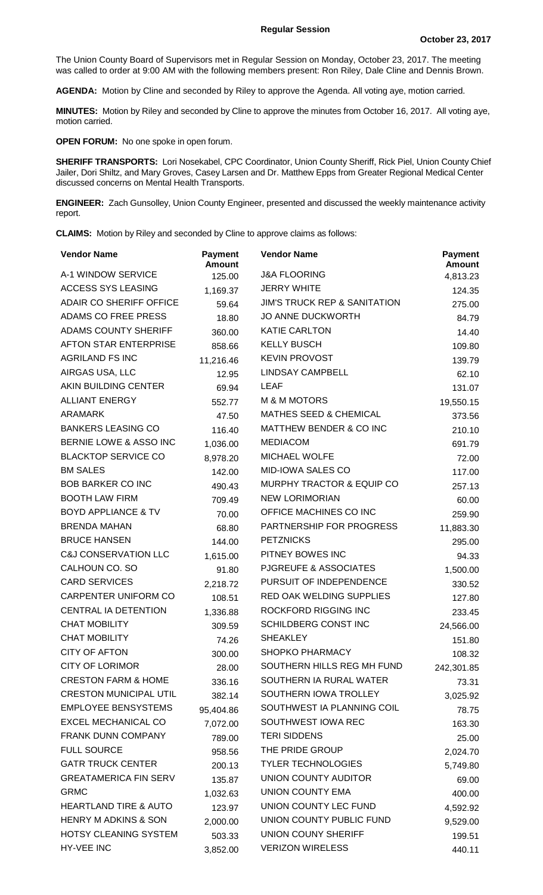The Union County Board of Supervisors met in Regular Session on Monday, October 23, 2017. The meeting was called to order at 9:00 AM with the following members present: Ron Riley, Dale Cline and Dennis Brown.

**AGENDA:** Motion by Cline and seconded by Riley to approve the Agenda. All voting aye, motion carried.

**MINUTES:** Motion by Riley and seconded by Cline to approve the minutes from October 16, 2017. All voting aye, motion carried.

**OPEN FORUM:** No one spoke in open forum.

**SHERIFF TRANSPORTS:** Lori Nosekabel, CPC Coordinator, Union County Sheriff, Rick Piel, Union County Chief Jailer, Dori Shiltz, and Mary Groves, Casey Larsen and Dr. Matthew Epps from Greater Regional Medical Center discussed concerns on Mental Health Transports.

**ENGINEER:** Zach Gunsolley, Union County Engineer, presented and discussed the weekly maintenance activity report.

**CLAIMS:** Motion by Riley and seconded by Cline to approve claims as follows:

| <b>Vendor Name</b>               | <b>Payment</b><br><b>Amount</b> | <b>Vendor Name</b>                      | <b>Payment</b><br><b>Amount</b> |
|----------------------------------|---------------------------------|-----------------------------------------|---------------------------------|
| A-1 WINDOW SERVICE               | 125.00                          | <b>J&amp;A FLOORING</b>                 | 4,813.23                        |
| <b>ACCESS SYS LEASING</b>        | 1,169.37                        | <b>JERRY WHITE</b>                      | 124.35                          |
| ADAIR CO SHERIFF OFFICE          | 59.64                           | <b>JIM'S TRUCK REP &amp; SANITATION</b> | 275.00                          |
| ADAMS CO FREE PRESS              | 18.80                           | <b>JO ANNE DUCKWORTH</b>                | 84.79                           |
| <b>ADAMS COUNTY SHERIFF</b>      | 360.00                          | <b>KATIE CARLTON</b>                    | 14.40                           |
| <b>AFTON STAR ENTERPRISE</b>     | 858.66                          | <b>KELLY BUSCH</b>                      | 109.80                          |
| <b>AGRILAND FS INC</b>           | 11,216.46                       | <b>KEVIN PROVOST</b>                    | 139.79                          |
| AIRGAS USA, LLC                  | 12.95                           | <b>LINDSAY CAMPBELL</b>                 | 62.10                           |
| AKIN BUILDING CENTER             | 69.94                           | <b>LEAF</b>                             | 131.07                          |
| <b>ALLIANT ENERGY</b>            | 552.77                          | <b>M &amp; M MOTORS</b>                 | 19,550.15                       |
| <b>ARAMARK</b>                   | 47.50                           | <b>MATHES SEED &amp; CHEMICAL</b>       | 373.56                          |
| <b>BANKERS LEASING CO</b>        | 116.40                          | MATTHEW BENDER & CO INC                 | 210.10                          |
| BERNIE LOWE & ASSO INC           | 1,036.00                        | <b>MEDIACOM</b>                         | 691.79                          |
| <b>BLACKTOP SERVICE CO</b>       | 8,978.20                        | <b>MICHAEL WOLFE</b>                    | 72.00                           |
| <b>BM SALES</b>                  | 142.00                          | <b>MID-IOWA SALES CO</b>                | 117.00                          |
| <b>BOB BARKER CO INC</b>         | 490.43                          | <b>MURPHY TRACTOR &amp; EQUIP CO</b>    | 257.13                          |
| <b>BOOTH LAW FIRM</b>            | 709.49                          | <b>NEW LORIMORIAN</b>                   | 60.00                           |
| <b>BOYD APPLIANCE &amp; TV</b>   | 70.00                           | OFFICE MACHINES CO INC                  | 259.90                          |
| <b>BRENDA MAHAN</b>              | 68.80                           | PARTNERSHIP FOR PROGRESS                | 11,883.30                       |
| <b>BRUCE HANSEN</b>              | 144.00                          | <b>PETZNICKS</b>                        | 295.00                          |
| <b>C&amp;J CONSERVATION LLC</b>  | 1,615.00                        | PITNEY BOWES INC                        | 94.33                           |
| CALHOUN CO. SO                   | 91.80                           | PJGREUFE & ASSOCIATES                   | 1,500.00                        |
| <b>CARD SERVICES</b>             | 2,218.72                        | PURSUIT OF INDEPENDENCE                 | 330.52                          |
| CARPENTER UNIFORM CO             | 108.51                          | <b>RED OAK WELDING SUPPLIES</b>         | 127.80                          |
| CENTRAL IA DETENTION             | 1,336.88                        | <b>ROCKFORD RIGGING INC</b>             | 233.45                          |
| <b>CHAT MOBILITY</b>             | 309.59                          | SCHILDBERG CONST INC                    | 24,566.00                       |
| <b>CHAT MOBILITY</b>             | 74.26                           | <b>SHEAKLEY</b>                         | 151.80                          |
| <b>CITY OF AFTON</b>             | 300.00                          | SHOPKO PHARMACY                         | 108.32                          |
| <b>CITY OF LORIMOR</b>           | 28.00                           | SOUTHERN HILLS REG MH FUND              | 242,301.85                      |
| <b>CRESTON FARM &amp; HOME</b>   | 336.16                          | SOUTHERN IA RURAL WATER                 | 73.31                           |
| <b>CRESTON MUNICIPAL UTIL</b>    | 382.14                          | SOUTHERN IOWA TROLLEY                   | 3,025.92                        |
| <b>EMPLOYEE BENSYSTEMS</b>       | 95,404.86                       | SOUTHWEST IA PLANNING COIL              | 78.75                           |
| <b>EXCEL MECHANICAL CO</b>       | 7,072.00                        | SOUTHWEST IOWA REC                      | 163.30                          |
| FRANK DUNN COMPANY               | 789.00                          | <b>TERI SIDDENS</b>                     | 25.00                           |
| <b>FULL SOURCE</b>               | 958.56                          | THE PRIDE GROUP                         | 2,024.70                        |
| <b>GATR TRUCK CENTER</b>         | 200.13                          | <b>TYLER TECHNOLOGIES</b>               | 5,749.80                        |
| <b>GREATAMERICA FIN SERV</b>     | 135.87                          | UNION COUNTY AUDITOR                    | 69.00                           |
| <b>GRMC</b>                      | 1,032.63                        | UNION COUNTY EMA                        | 400.00                          |
| <b>HEARTLAND TIRE &amp; AUTO</b> | 123.97                          | UNION COUNTY LEC FUND                   | 4,592.92                        |
| <b>HENRY M ADKINS &amp; SON</b>  | 2,000.00                        | UNION COUNTY PUBLIC FUND                | 9,529.00                        |
| HOTSY CLEANING SYSTEM            | 503.33                          | UNION COUNY SHERIFF                     | 199.51                          |
| HY-VEE INC                       | 3,852.00                        | <b>VERIZON WIRELESS</b>                 | 440.11                          |